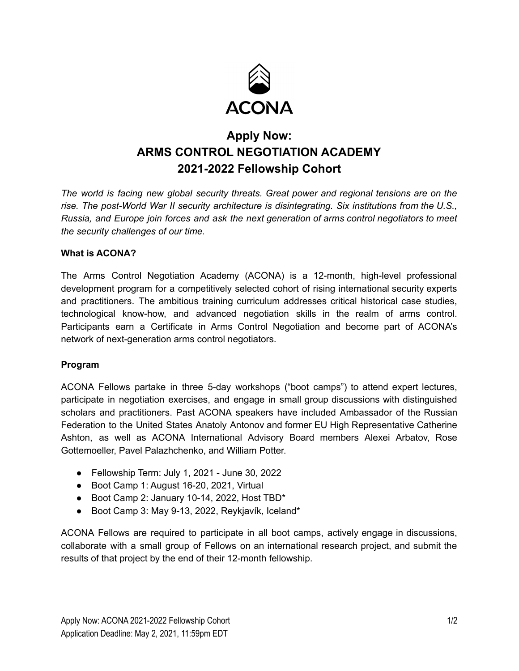

# **Apply Now: ARMS CONTROL NEGOTIATION ACADEMY 2021-2022 Fellowship Cohort**

*The world is facing new global security threats. Great power and regional tensions are on the rise. The post-World War II security architecture is disintegrating. Six institutions from the U.S., Russia, and Europe join forces and ask the next generation of arms control negotiators to meet the security challenges of our time.*

#### **What is ACONA?**

The Arms Control Negotiation Academy (ACONA) is a 12-month, high-level professional development program for a competitively selected cohort of rising international security experts and practitioners. The ambitious training curriculum addresses critical historical case studies, technological know-how, and advanced negotiation skills in the realm of arms control. Participants earn a Certificate in Arms Control Negotiation and become part of ACONA's network of next-generation arms control negotiators.

#### **Program**

ACONA Fellows partake in three 5-day workshops ("boot camps") to attend expert lectures, participate in negotiation exercises, and engage in small group discussions with distinguished scholars and practitioners. Past ACONA speakers have included Ambassador of the Russian Federation to the United States Anatoly Antonov and former EU High Representative Catherine Ashton, as well as ACONA International Advisory Board members Alexei Arbatov, Rose Gottemoeller, Pavel Palazhchenko, and William Potter.

- Fellowship Term: July 1, 2021 June 30, 2022
- Boot Camp 1: August 16-20, 2021, Virtual
- Boot Camp 2: January 10-14, 2022, Host TBD\*
- Boot Camp 3: May 9-13, 2022, Reykjavík, Iceland\*

ACONA Fellows are required to participate in all boot camps, actively engage in discussions, collaborate with a small group of Fellows on an international research project, and submit the results of that project by the end of their 12-month fellowship.